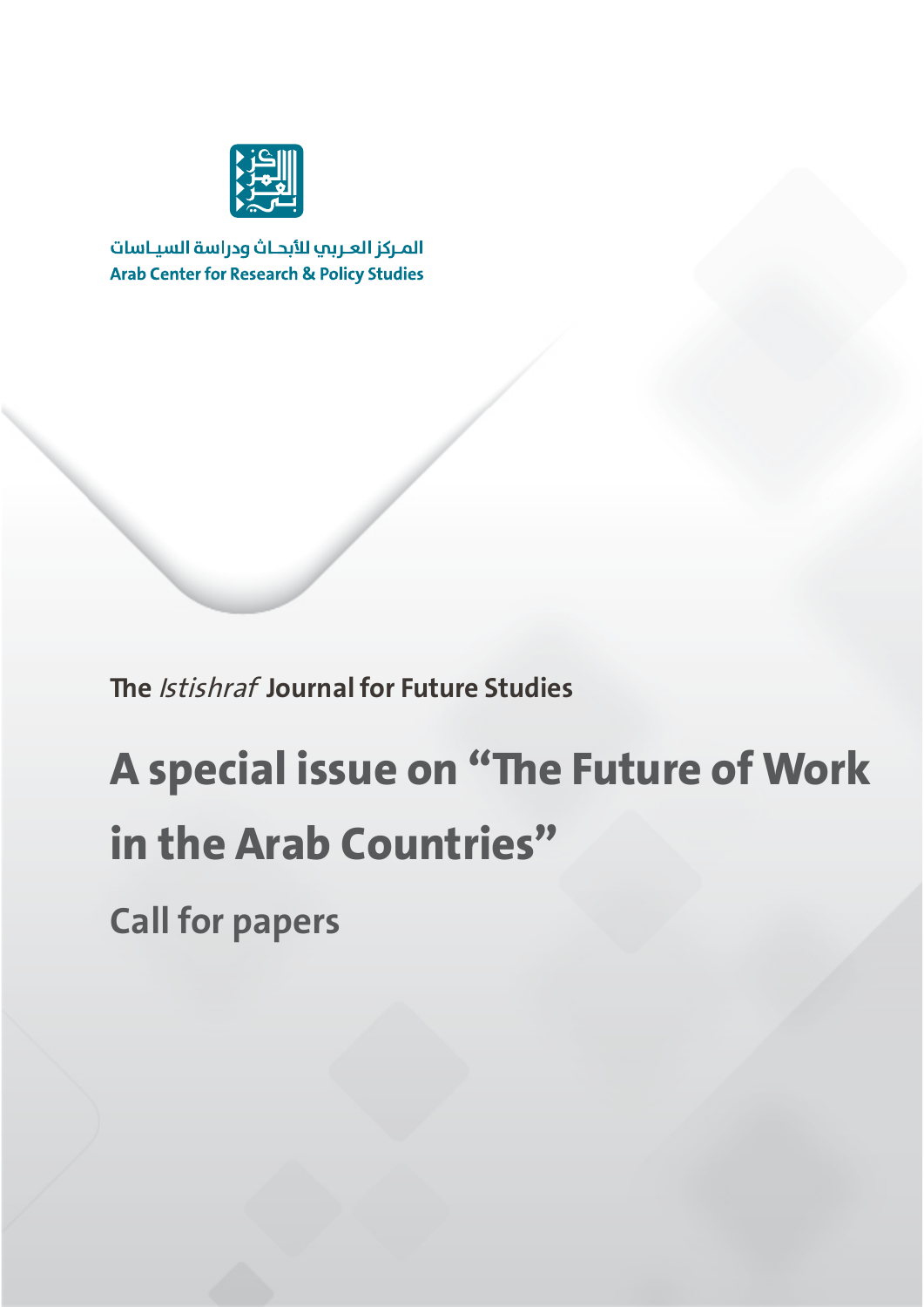

المركز العربب للأبحاث ودراسة السياسات **Arab Center for Research & Policy Studies** 

**The** Istishraf **Journal for Future Studies**

# **A special issue on "The Future of Work in the Arab Countries"**

**Call for papers**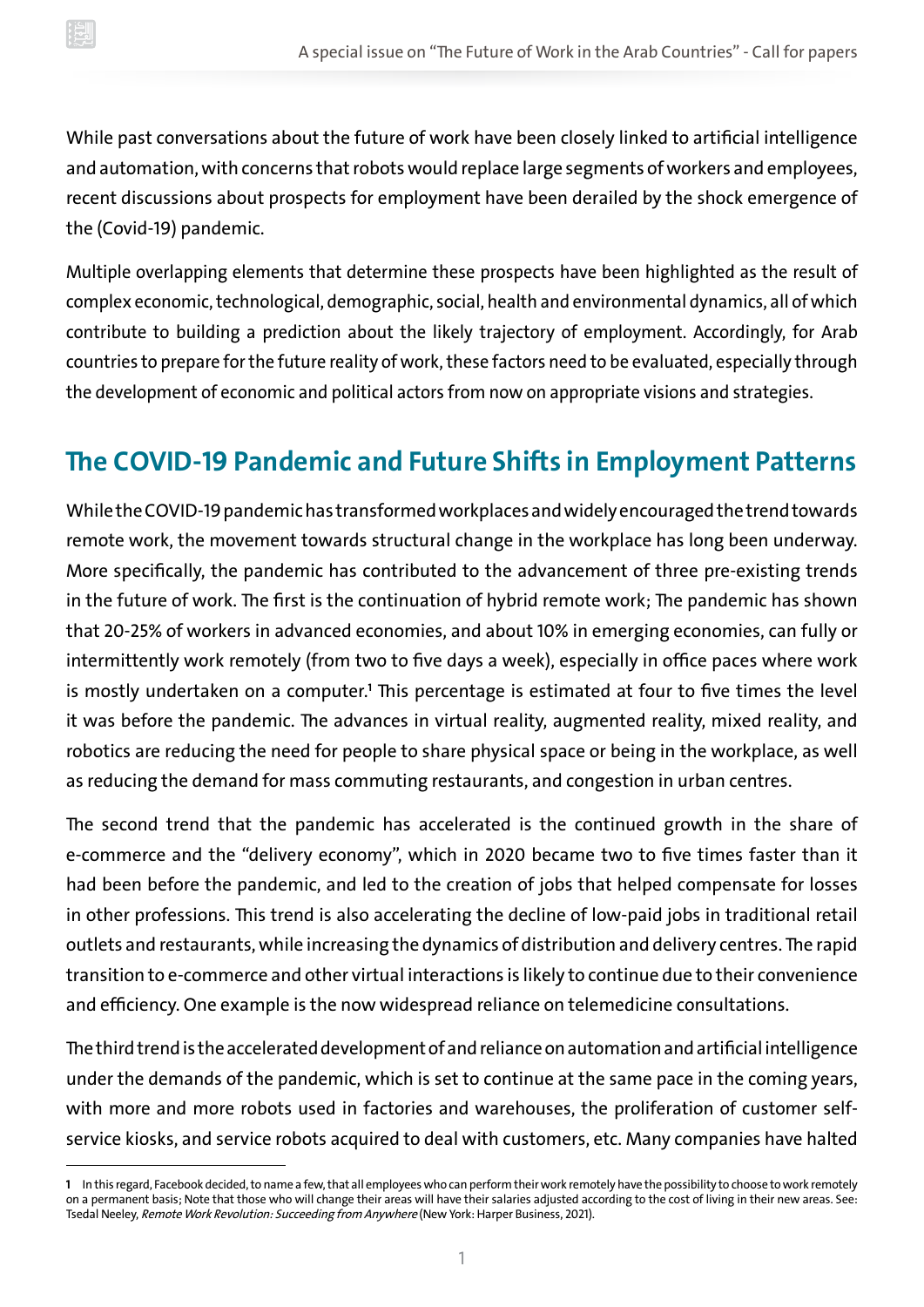While past conversations about the future of work have been closely linked to artificial intelligence and automation, with concerns that robots would replace large segments of workers and employees, recent discussions about prospects for employment have been derailed by the shock emergence of the (Covid-19) pandemic.

Multiple overlapping elements that determine these prospects have been highlighted as the result of complex economic, technological, demographic, social, health and environmental dynamics, all of which contribute to building a prediction about the likely trajectory of employment. Accordingly, for Arab countries to prepare for the future reality of work, these factors need to be evaluated, especially through the development of economic and political actors from now on appropriate visions and strategies.

#### **The COVID-19 Pandemic and Future Shifts in Employment Patterns**

While the COVID-19 pandemic has transformed workplaces and widely encouraged the trend towards remote work, the movement towards structural change in the workplace has long been underway. More specifically, the pandemic has contributed to the advancement of three pre-existing trends in the future of work. The first is the continuation of hybrid remote work; The pandemic has shown that 20-25% of workers in advanced economies, and about 10% in emerging economies, can fully or intermittently work remotely (from two to five days a week), especially in office paces where work is mostly undertaken on a computer.**<sup>1</sup>** This percentage is estimated at four to five times the level it was before the pandemic. The advances in virtual reality, augmented reality, mixed reality, and robotics are reducing the need for people to share physical space or being in the workplace, as well as reducing the demand for mass commuting restaurants, and congestion in urban centres.

The second trend that the pandemic has accelerated is the continued growth in the share of e-commerce and the "delivery economy", which in 2020 became two to five times faster than it had been before the pandemic, and led to the creation of jobs that helped compensate for losses in other professions. This trend is also accelerating the decline of low-paid jobs in traditional retail outlets and restaurants, while increasing the dynamics of distribution and delivery centres. The rapid transition to e-commerce and other virtual interactions is likely to continue due to their convenience and efficiency. One example is the now widespread reliance on telemedicine consultations.

The third trend is the accelerated development of and reliance on automation and artificial intelligence under the demands of the pandemic, which is set to continue at the same pace in the coming years, with more and more robots used in factories and warehouses, the proliferation of customer selfservice kiosks, and service robots acquired to deal with customers, etc. Many companies have halted

**<sup>1</sup>** In this regard, Facebook decided, to name a few, that all employees who can perform their work remotely have the possibility to choose to work remotely on a permanent basis; Note that those who will change their areas will have their salaries adjusted according to the cost of living in their new areas. See: Tsedal Neeley, Remote Work Revolution: Succeeding from Anywhere (New York: Harper Business, 2021).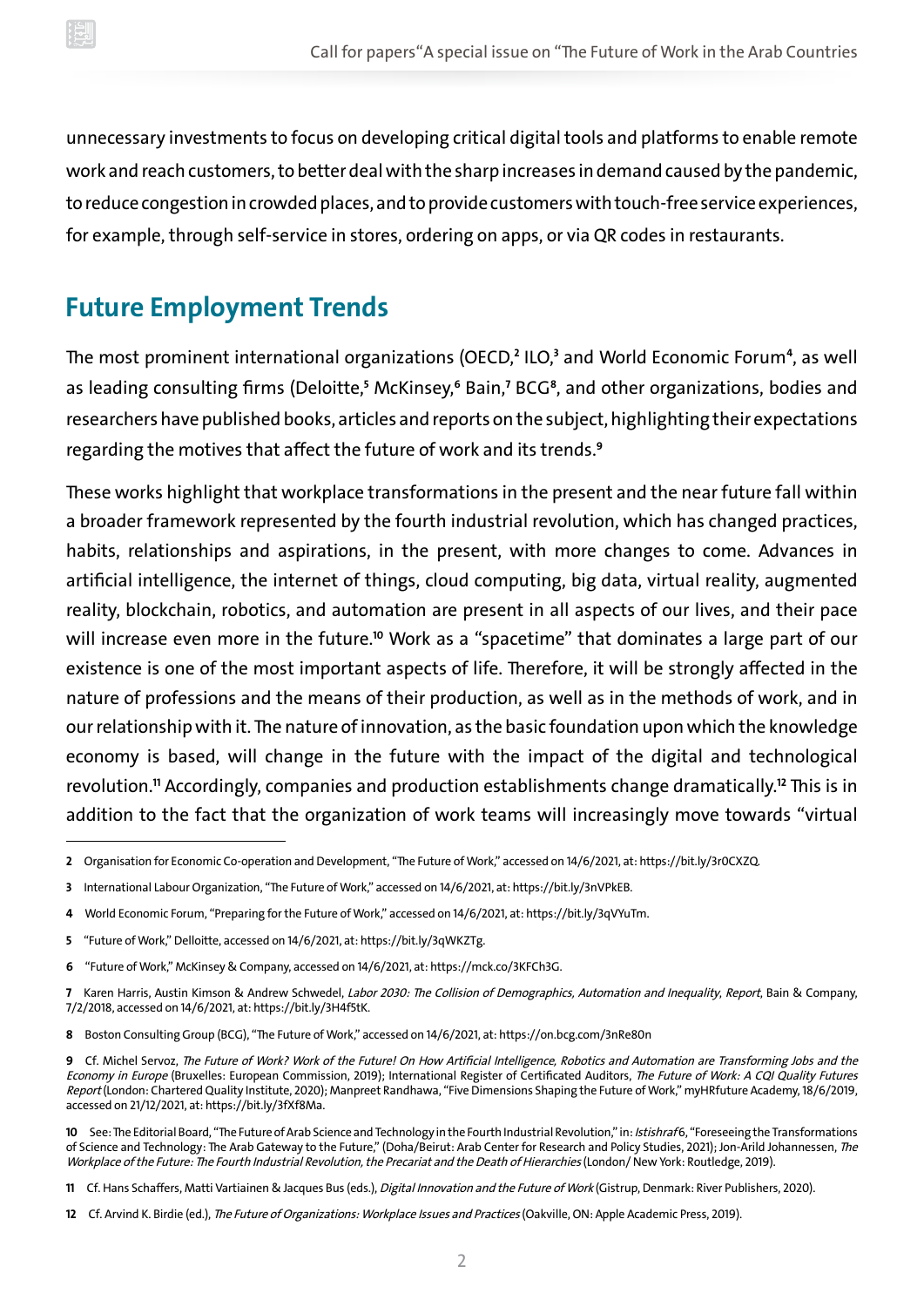unnecessary investments to focus on developing critical digital tools and platforms to enable remote work and reach customers, to better deal with the sharp increases in demand caused by the pandemic, to reduce congestion in crowded places, and to provide customers with touch-free service experiences, for example, through self-service in stores, ordering on apps, or via QR codes in restaurants.

#### **Future Employment Trends**

The most prominent international organizations (OECD,**<sup>2</sup>** ILO,**<sup>3</sup>** and World Economic Forum **<sup>4</sup>** , as well as leading consulting firms (Deloitte,**<sup>5</sup>** McKinsey,**<sup>6</sup>** Bain,**<sup>7</sup>** BCG **<sup>8</sup>** , and other organizations, bodies and researchers have published books, articles and reports on the subject, highlighting their expectations regarding the motives that affect the future of work and its trends.**<sup>9</sup>**

These works highlight that workplace transformations in the present and the near future fall within a broader framework represented by the fourth industrial revolution, which has changed practices, habits, relationships and aspirations, in the present, with more changes to come. Advances in artificial intelligence, the internet of things, cloud computing, big data, virtual reality, augmented reality, blockchain, robotics, and automation are present in all aspects of our lives, and their pace will increase even more in the future.**<sup>10</sup>** Work as a "spacetime" that dominates a large part of our existence is one of the most important aspects of life. Therefore, it will be strongly affected in the nature of professions and the means of their production, as well as in the methods of work, and in our relationship with it. The nature of innovation, as the basic foundation upon which the knowledge economy is based, will change in the future with the impact of the digital and technological revolution.**<sup>11</sup>** Accordingly, companies and production establishments change dramatically.**<sup>12</sup>** This is in addition to the fact that the organization of work teams will increasingly move towards "virtual

**12** Cf. Arvind K. Birdie (ed.), The Future of Organizations: Workplace Issues and Practices (Oakville, ON: Apple Academic Press, 2019).

**<sup>2</sup>** Organisation for Economic Co-operation and Development, "The Future of Work," accessed on 14/6/2021, at:<https://bit.ly/3r0CXZQ>.

**<sup>3</sup>** International Labour Organization, "The Future of Work," accessed on 14/6/2021, at: [https://bit.ly/3nVPkEB.](https://bit.ly/3nVPkEB)

**<sup>4</sup>** World Economic Forum, "Preparing for the Future of Work," accessed on 14/6/2021, at: [https://bit.ly/3qVYuTm.](https://bit.ly/3qVYuTm)

**<sup>5</sup>** "Future of Work," Delloitte, accessed on 14/6/2021, at:<https://bit.ly/3qWKZTg>.

**<sup>6</sup>** "Future of Work," McKinsey & Company, accessed on 14/6/2021, at: [https://mck.co/3KFCh3G.](https://mck.co/3KFCh3G)

**<sup>7</sup>** Karen Harris, Austin Kimson & Andrew Schwedel, Labor 2030: The Collision of Demographics, Automation and Inequality, Report, Bain & Company, 7/2/2018, accessed on 14/6/2021, at: [https://bit.ly/3H4f5tK.](https://bit.ly/3H4f5tK)

**<sup>8</sup>** Boston Consulting Group (BCG), "The Future of Work," accessed on 14/6/2021, at: <https://on.bcg.com/3nRe80n>

**<sup>9</sup>** Cf. Michel Servoz, The Future of Work? Work of the Future! On How Artificial Intelligence, Robotics and Automation are Transforming Jobs and the Economy in Europe (Bruxelles: European Commission, 2019); International Register of Certificated Auditors, The Future of Work: A CQI Quality Futures Report (London: Chartered Quality Institute, 2020); Manpreet Randhawa, "Five Dimensions Shaping the Future of Work," myHRfuture Academy, 18/6/2019, accessed on 21/12/2021, at: [https://bit.ly/3fXf8Ma.](https://bit.ly/3fXf8Ma)

**<sup>10</sup>** See: The Editorial Board, "The Future of Arab Science and Technology in the Fourth Industrial Revolution," in: Istishraf 6, "Foreseeing the Transformations of Science and Technology: The Arab Gateway to the Future," (Doha/Beirut: Arab Center for Research and Policy Studies, 2021); Jon-Arild Johannessen, The Workplace of the Future: The Fourth Industrial Revolution, the Precariat and the Death of Hierarchies (London/ New York: Routledge, 2019).

**<sup>11</sup>** Cf. Hans Schaffers, Matti Vartiainen & Jacques Bus (eds.), Digital Innovation and the Future of Work (Gistrup, Denmark: River Publishers, 2020).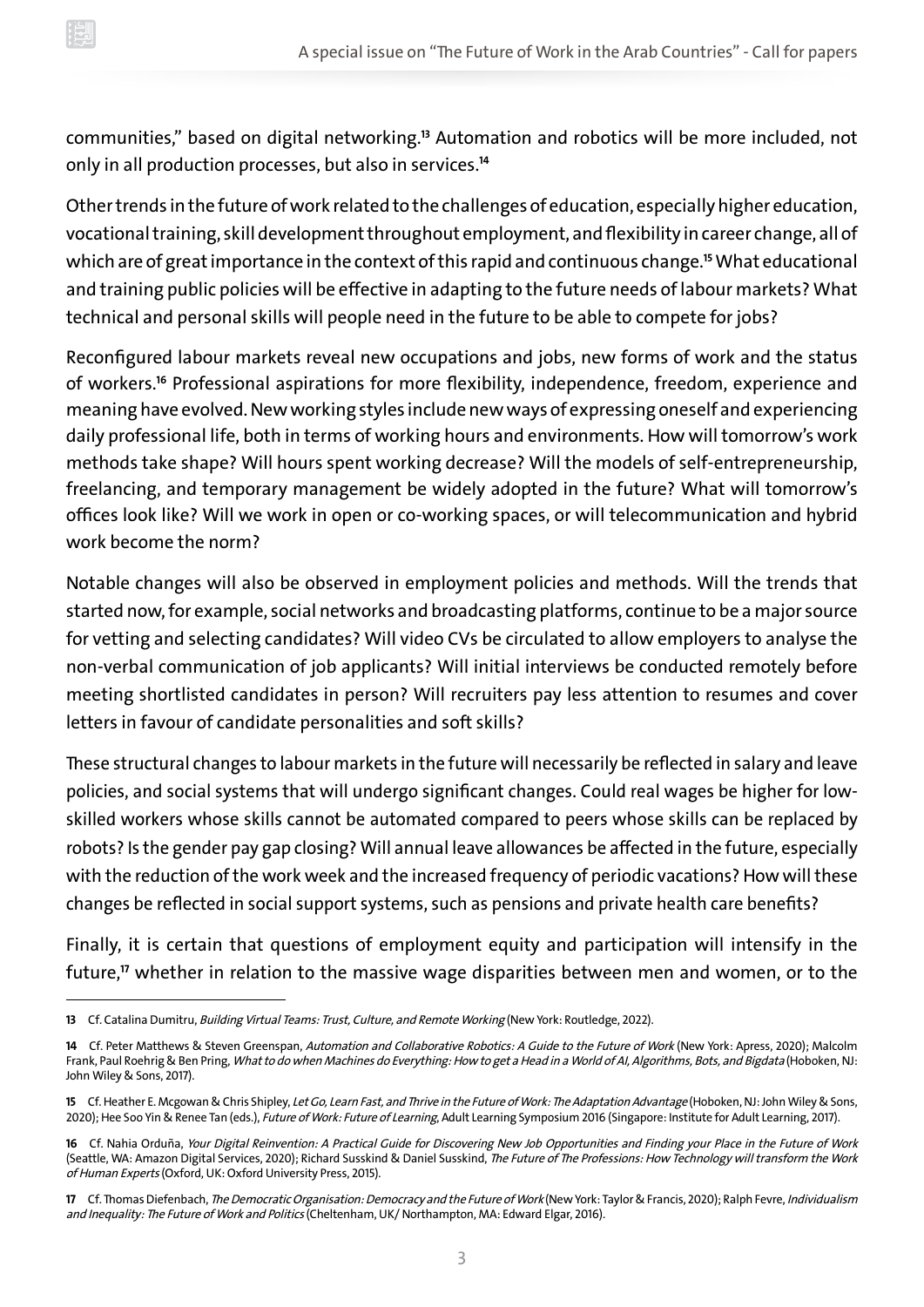communities," based on digital networking.**<sup>13</sup>** Automation and robotics will be more included, not only in all production processes, but also in services.**<sup>14</sup>**

Other trends in the future of work related to the challenges of education, especially higher education, vocational training, skill development throughout employment, and flexibility in career change, all of which are of great importance in the context of this rapid and continuous change.**<sup>15</sup>** What educational and training public policies will be effective in adapting to the future needs of labour markets? What technical and personal skills will people need in the future to be able to compete for jobs?

Reconfigured labour markets reveal new occupations and jobs, new forms of work and the status of workers.**<sup>16</sup>** Professional aspirations for more flexibility, independence, freedom, experience and meaning have evolved. New working styles include new ways of expressing oneself and experiencing daily professional life, both in terms of working hours and environments. How will tomorrow's work methods take shape? Will hours spent working decrease? Will the models of self-entrepreneurship, freelancing, and temporary management be widely adopted in the future? What will tomorrow's offices look like? Will we work in open or co-working spaces, or will telecommunication and hybrid work become the norm?

Notable changes will also be observed in employment policies and methods. Will the trends that started now, for example, social networks and broadcasting platforms, continue to be a major source for vetting and selecting candidates? Will video CVs be circulated to allow employers to analyse the non-verbal communication of job applicants? Will initial interviews be conducted remotely before meeting shortlisted candidates in person? Will recruiters pay less attention to resumes and cover letters in favour of candidate personalities and soft skills?

These structural changes to labour markets in the future will necessarily be reflected in salary and leave policies, and social systems that will undergo significant changes. Could real wages be higher for lowskilled workers whose skills cannot be automated compared to peers whose skills can be replaced by robots? Is the gender pay gap closing? Will annual leave allowances be affected in the future, especially with the reduction of the work week and the increased frequency of periodic vacations? How will these changes be reflected in social support systems, such as pensions and private health care benefits?

Finally, it is certain that questions of employment equity and participation will intensify in the future,**<sup>17</sup>** whether in relation to the massive wage disparities between men and women, or to the

**<sup>13</sup>** Cf. Catalina Dumitru, Building Virtual Teams: Trust, Culture, and Remote Working (New York: Routledge, 2022).

**<sup>14</sup>** Cf. Peter Matthews & Steven Greenspan, Automation and Collaborative Robotics: A Guide to the Future of Work (New York: Apress, 2020); Malcolm Frank, Paul Roehrig & Ben Pring, What to do when Machines do Everything: How to get a Head in a World of AI, Algorithms, Bots, and Bigdata (Hoboken, NJ: John Wiley & Sons, 2017).

**<sup>15</sup>** Cf. Heather E. Mcgowan & Chris Shipley, Let Go, Learn Fast, and Thrive in the Future of Work: The Adaptation Advantage (Hoboken, NJ: John Wiley & Sons, 2020); Hee Soo Yin & Renee Tan (eds.), Future of Work: Future of Learning, Adult Learning Symposium 2016 (Singapore: Institute for Adult Learning, 2017).

**<sup>16</sup>** Cf. Nahia Orduña, Your Digital Reinvention: A Practical Guide for Discovering New Job Opportunities and Finding your Place in the Future of Work (Seattle, WA: Amazon Digital Services, 2020); Richard Susskind & Daniel Susskind, The Future of The Professions: How Technology will transform the Work of Human Experts (Oxford, UK: Oxford University Press, 2015).

**<sup>17</sup>** Cf. Thomas Diefenbach, The Democratic Organisation: Democracy and the Future of Work (New York: Taylor & Francis, 2020); Ralph Fevre, Individualism and Inequality: The Future of Work and Politics (Cheltenham, UK/ Northampton, MA: Edward Elgar, 2016).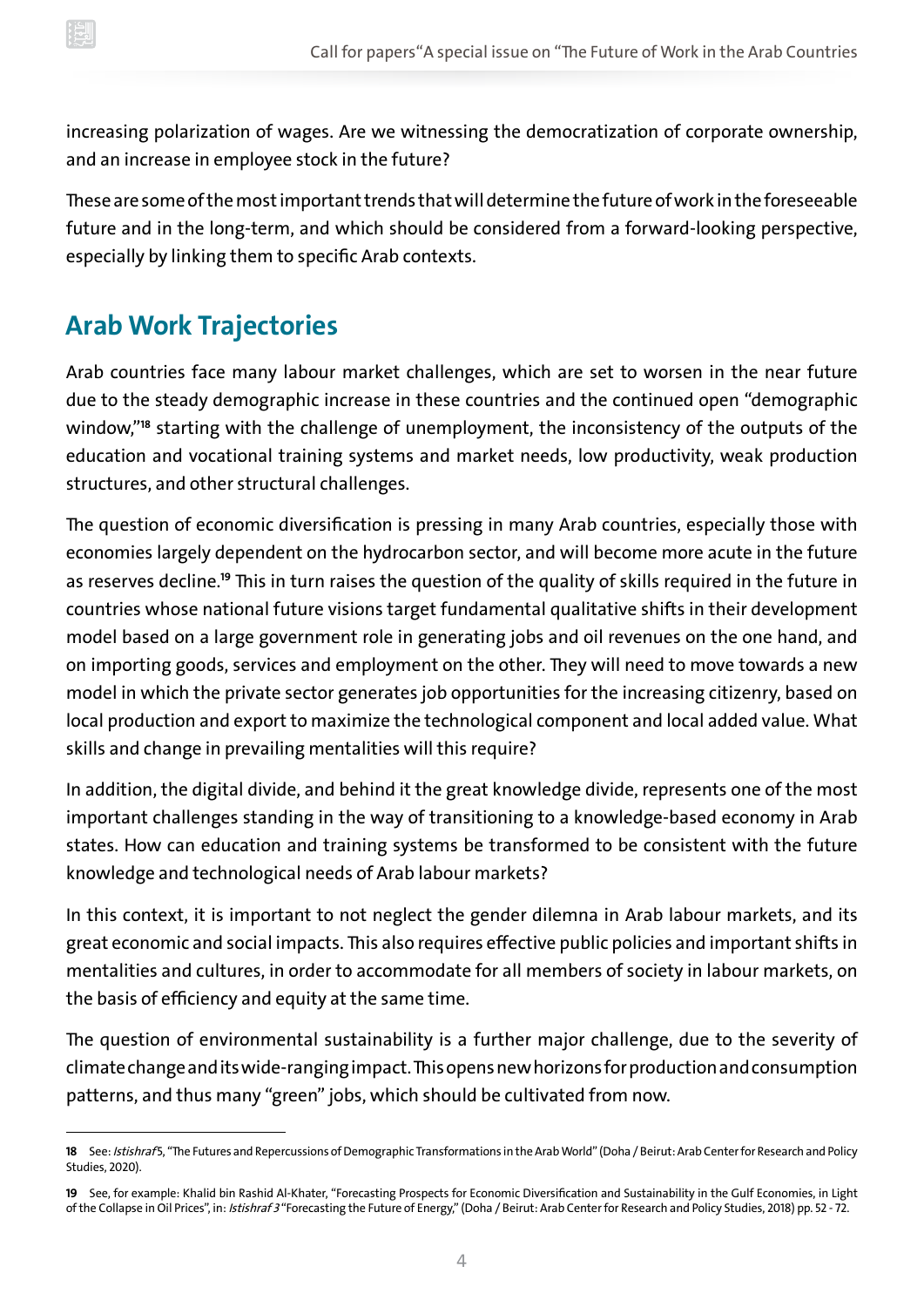increasing polarization of wages. Are we witnessing the democratization of corporate ownership, and an increase in employee stock in the future?

These are some of the most important trends that will determine the future of work in the foreseeable future and in the long-term, and which should be considered from a forward-looking perspective, especially by linking them to specific Arab contexts.

## **Arab Work Trajectories**

Arab countries face many labour market challenges, which are set to worsen in the near future due to the steady demographic increase in these countries and the continued open "demographic window,"**<sup>18</sup>** starting with the challenge of unemployment, the inconsistency of the outputs of the education and vocational training systems and market needs, low productivity, weak production structures, and other structural challenges.

The question of economic diversification is pressing in many Arab countries, especially those with economies largely dependent on the hydrocarbon sector, and will become more acute in the future as reserves decline.**<sup>19</sup>** This in turn raises the question of the quality of skills required in the future in countries whose national future visions target fundamental qualitative shifts in their development model based on a large government role in generating jobs and oil revenues on the one hand, and on importing goods, services and employment on the other. They will need to move towards a new model in which the private sector generates job opportunities for the increasing citizenry, based on local production and export to maximize the technological component and local added value. What skills and change in prevailing mentalities will this require?

In addition, the digital divide, and behind it the great knowledge divide, represents one of the most important challenges standing in the way of transitioning to a knowledge-based economy in Arab states. How can education and training systems be transformed to be consistent with the future knowledge and technological needs of Arab labour markets?

In this context, it is important to not neglect the gender dilemna in Arab labour markets, and its great economic and social impacts. This also requires effective public policies and important shifts in mentalities and cultures, in order to accommodate for all members of society in labour markets, on the basis of efficiency and equity at the same time.

The question of environmental sustainability is a further major challenge, due to the severity of climate change and its wide-ranging impact. This opens new horizons for production and consumption patterns, and thus many "green" jobs, which should be cultivated from now.

<sup>18</sup> See: Istishraf5, "The Futures and Repercussions of Demographic Transformations in the Arab World" (Doha / Beirut: Arab Center for Research and Policy Studies, 2020).

**<sup>19</sup>** See, for example: Khalid bin Rashid Al-Khater, "Forecasting Prospects for Economic Diversification and Sustainability in the Gulf Economies, in Light of the Collapse in Oil Prices", in: Istishraf 3 "Forecasting the Future of Energy," (Doha / Beirut: Arab Center for Research and Policy Studies, 2018) pp. 52 - 72.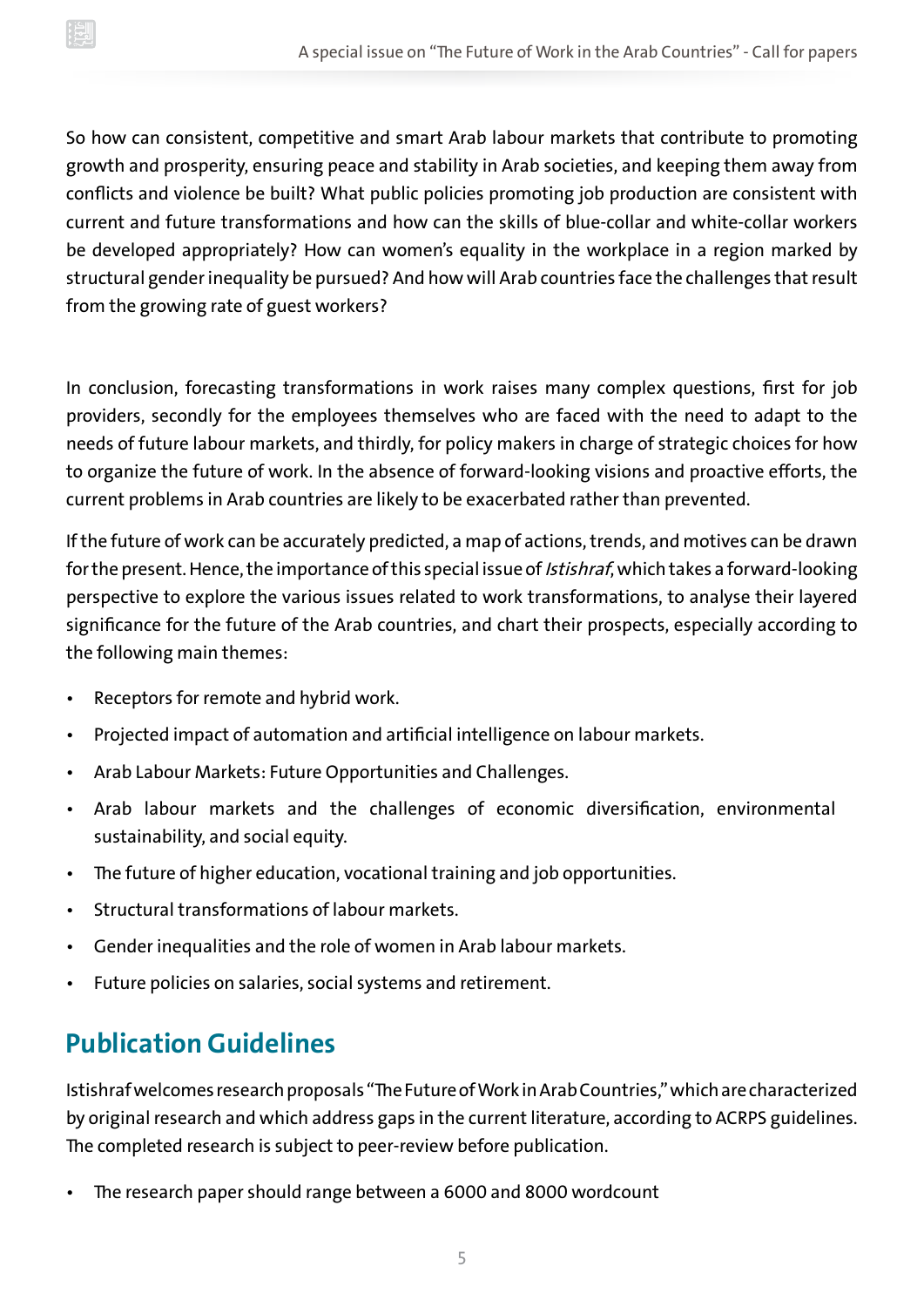So how can consistent, competitive and smart Arab labour markets that contribute to promoting growth and prosperity, ensuring peace and stability in Arab societies, and keeping them away from conflicts and violence be built? What public policies promoting job production are consistent with current and future transformations and how can the skills of blue-collar and white-collar workers be developed appropriately? How can women's equality in the workplace in a region marked by structural gender inequality be pursued? And how will Arab countries face the challenges that result from the growing rate of guest workers?

In conclusion, forecasting transformations in work raises many complex questions, first for job providers, secondly for the employees themselves who are faced with the need to adapt to the needs of future labour markets, and thirdly, for policy makers in charge of strategic choices for how to organize the future of work. In the absence of forward-looking visions and proactive efforts, the current problems in Arab countries are likely to be exacerbated rather than prevented.

If the future of work can be accurately predicted, a map of actions, trends, and motives can be drawn for the present. Hence, the importance of this special issue of *Istishraf*, which takes a forward-looking perspective to explore the various issues related to work transformations, to analyse their layered significance for the future of the Arab countries, and chart their prospects, especially according to the following main themes:

- Receptors for remote and hybrid work.
- Projected impact of automation and artificial intelligence on labour markets.
- Arab Labour Markets: Future Opportunities and Challenges.
- Arab labour markets and the challenges of economic diversification, environmental sustainability, and social equity.
- The future of higher education, vocational training and job opportunities.
- Structural transformations of labour markets.
- Gender inequalities and the role of women in Arab labour markets.
- Future policies on salaries, social systems and retirement.

### **Publication Guidelines**

Istishraf welcomes research proposals "The Future of Work in Arab Countries," which are characterized by original research and which address gaps in the current literature, according to ACRPS guidelines. The completed research is subject to peer-review before publication.

• The research paper should range between a 6000 and 8000 wordcount